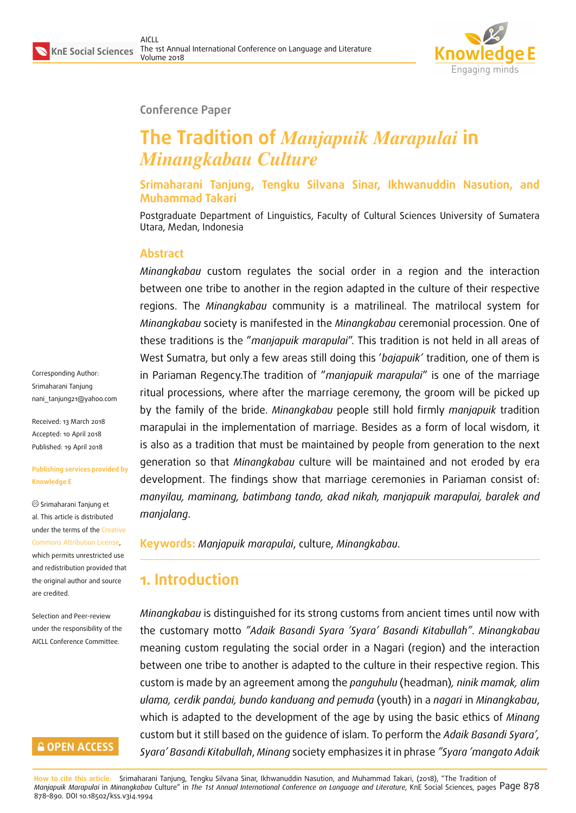

#### **Conference Paper**

# **The Tradition of** *Manjapuik Marapulai* **in** *Minangkabau Culture*

**Srimaharani Tanjung, Tengku Silvana Sinar, Ikhwanuddin Nasution, and Muhammad Takari**

Postgraduate Department of Linguistics, Faculty of Cultural Sciences University of Sumatera Utara, Medan, Indonesia

#### **Abstract**

*Minangkabau* custom regulates the social order in a region and the interaction between one tribe to another in the region adapted in the culture of their respective regions. The *Minangkabau* community is a matrilineal. The matrilocal system for *Minangkabau* society is manifested in the *Minangkabau* ceremonial procession. One of these traditions is the "*manjapuik marapulai*". This tradition is not held in all areas of West Sumatra, but only a few areas still doing this '*bajapuik'* tradition, one of them is in Pariaman Regency.The tradition of "*manjapuik marapulai*" is one of the marriage ritual processions, where after the marriage ceremony, the groom will be picked up by the family of the bride. *Minangkabau* people still hold firmly *manjapuik* tradition marapulai in the implementation of marriage. Besides as a form of local wisdom, it is also as a tradition that must be maintained by people from generation to the next generation so that *Minangkabau* culture will be maintained and not eroded by era development. The findings show that marriage ceremonies in Pariaman consist of: *manyilau, maminang, batimbang tando, akad nikah, manjapuik marapulai, baralek and manjalang*.

**Keywords:** *Manjapuik marapulai*, culture, *Minangkabau*.

# **1. Introduction**

*Minangkabau* is distinguished for its strong customs from ancient times until now with the customary motto *"Adaik Basandi Syara 'Syara' Basandi Kitabullah"*. *Minangkabau* meaning custom regulating the social order in a Nagari (region) and the interaction between one tribe to another is adapted to the culture in their respective region. This custom is made by an agreement among the *panguhulu* (headman)*, ninik mamak, alim ulama, cerdik pandai, bundo kanduang and pemuda* (youth) in a *nagari* in *Minangkabau*, which is adapted to the development of the age by using the basic ethics of *Minang* custom but it still based on the guidence of islam. To perform the *Adaik Basandi Syara', Syara' Basandi Kitabullah*, *Minang* society emphasizes it in phrase *"Syara 'mangato Adaik*

**How to cite this article**: Srimaharani Tanjung, Tengku Silvana Sinar, Ikhwanuddin Nasution, and Muhammad Takari, (2018), "The Tradition of *Manjapuik Marapulai* in *Minangkabau* Culture" in *The 1st Annual International Conference on Language and Literature*, KnE Social Sciences, pages Page 878 878–890. DOI 10.18502/kss.v3i4.1994

Corresponding Author: Srimaharani Tanjung nani\_tanjung21@yahoo.com

Received: 13 March 2018 Accepted: 10 April 2018 [Published: 19 April 2018](mailto:nani_tanjung21@yahoo.com)

#### **Publishing services provided by Knowledge E**

Srimaharani Tanjung et al. This article is distributed under the terms of the Creative Commons Attribution License,

which permits unrestricted use and redistribution provided that the original author and [source](https://creativecommons.org/licenses/by/4.0/) [are credited.](https://creativecommons.org/licenses/by/4.0/)

Selection and Peer-review under the responsibility of the AICLL Conference Committee.

### **GOPEN ACCESS**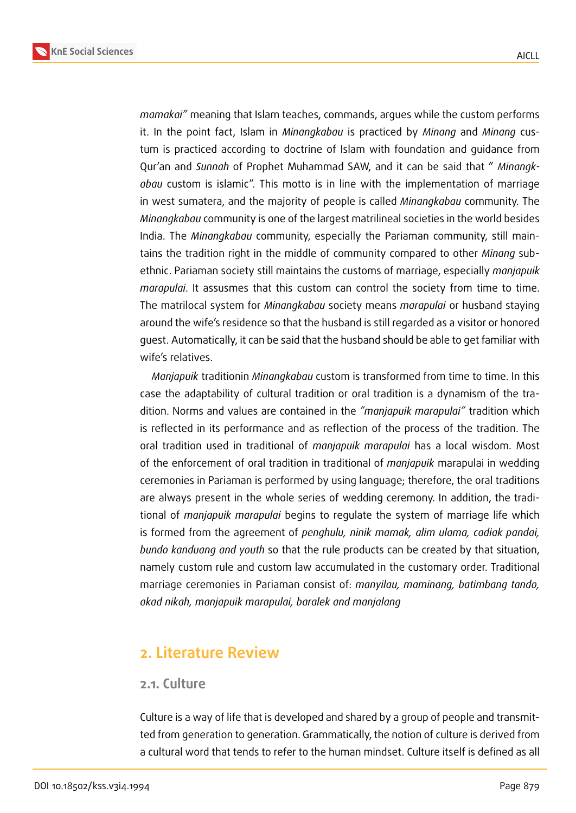

*mamakai"* meaning that Islam teaches, commands, argues while the custom performs it. In the point fact, Islam in *Minangkabau* is practiced by *Minang* and *Minang* custum is practiced according to doctrine of Islam with foundation and guidance from Qur'an and *Sunnah* of Prophet Muhammad SAW, and it can be said that " *Minangkabau* custom is islamic". This motto is in line with the implementation of marriage in west sumatera, and the majority of people is called *Minangkabau* community. The *Minangkabau* community is one of the largest matrilineal societies in the world besides India. The *Minangkabau* community, especially the Pariaman community, still maintains the tradition right in the middle of community compared to other *Minang* subethnic. Pariaman society still maintains the customs of marriage, especially *manjapuik marapulai*. It assusmes that this custom can control the society from time to time.

The matrilocal system for *Minangkabau* society means *marapulai* or husband staying around the wife's residence so that the husband is still regarded as a visitor or honored guest. Automatically, it can be said that the husband should be able to get familiar with wife's relatives.

*Manjapuik* traditionin *Minangkabau* custom is transformed from time to time. In this case the adaptability of cultural tradition or oral tradition is a dynamism of the tradition. Norms and values are contained in the *"manjapuik marapulai"* tradition which is reflected in its performance and as reflection of the process of the tradition. The oral tradition used in traditional of *manjapuik marapulai* has a local wisdom. Most of the enforcement of oral tradition in traditional of *manjapuik* marapulai in wedding ceremonies in Pariaman is performed by using language; therefore, the oral traditions are always present in the whole series of wedding ceremony. In addition, the traditional of *manjapuik marapulai* begins to regulate the system of marriage life which is formed from the agreement of *penghulu, ninik mamak, alim ulama, cadiak pandai, bundo kanduang and youth* so that the rule products can be created by that situation, namely custom rule and custom law accumulated in the customary order. Traditional marriage ceremonies in Pariaman consist of: *manyilau, maminang, batimbang tando, akad nikah, manjapuik marapulai, baralek and manjalang*

# **2. Literature Review**

#### **2.1. Culture**

Culture is a way of life that is developed and shared by a group of people and transmitted from generation to generation. Grammatically, the notion of culture is derived from a cultural word that tends to refer to the human mindset. Culture itself is defined as all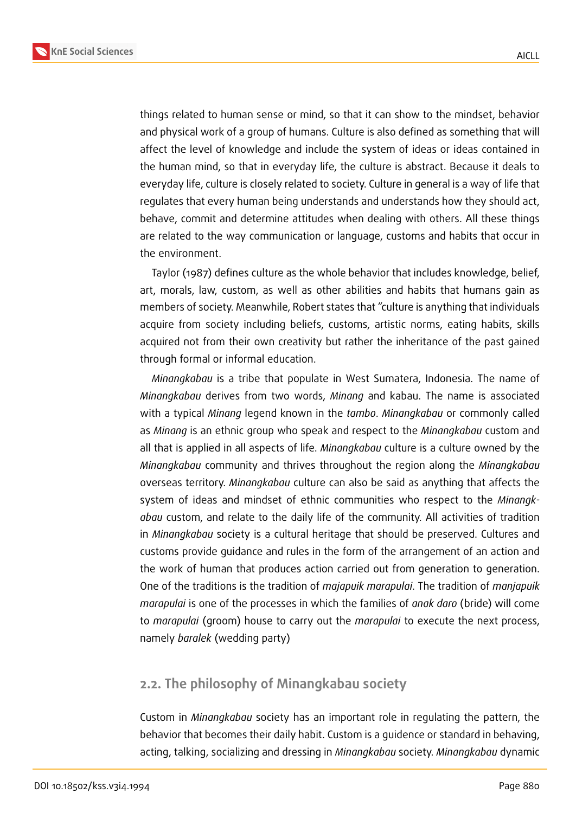**KnE Social Sciences**



things related to human sense or mind, so that it can show to the mindset, behavior and physical work of a group of humans. Culture is also defined as something that will affect the level of knowledge and include the system of ideas or ideas contained in the human mind, so that in everyday life, the culture is abstract. Because it deals to everyday life, culture is closely related to society. Culture in general is a way of life that regulates that every human being understands and understands how they should act, behave, commit and determine attitudes when dealing with others. All these things are related to the way communication or language, customs and habits that occur in the environment.

Taylor (1987) defines culture as the whole behavior that includes knowledge, belief, art, morals, law, custom, as well as other abilities and habits that humans gain as members of society. Meanwhile, Robert states that "culture is anything that individuals acquire from society including beliefs, customs, artistic norms, eating habits, skills acquired not from their own creativity but rather the inheritance of the past gained through formal or informal education.

*Minangkabau* is a tribe that populate in West Sumatera, Indonesia. The name of *Minangkabau* derives from two words, *Minang* and kabau. The name is associated with a typical *Minang* legend known in the *tambo*. *Minangkabau* or commonly called as *Minang* is an ethnic group who speak and respect to the *Minangkabau* custom and all that is applied in all aspects of life. *Minangkabau* culture is a culture owned by the *Minangkabau* community and thrives throughout the region along the *Minangkabau* overseas territory. *Minangkabau* culture can also be said as anything that affects the system of ideas and mindset of ethnic communities who respect to the *Minangkabau* custom, and relate to the daily life of the community. All activities of tradition in *Minangkabau* society is a cultural heritage that should be preserved. Cultures and customs provide guidance and rules in the form of the arrangement of an action and the work of human that produces action carried out from generation to generation. One of the traditions is the tradition of *majapuik marapulai*. The tradition of *manjapuik marapulai* is one of the processes in which the families of *anak daro* (bride) will come to *marapulai* (groom) house to carry out the *marapulai* to execute the next process, namely *baralek* (wedding party)

### **2.2. The philosophy of Minangkabau society**

Custom in *Minangkabau* society has an important role in regulating the pattern, the behavior that becomes their daily habit. Custom is a guidence or standard in behaving, acting, talking, socializing and dressing in *Minangkabau* society. *Minangkabau* dynamic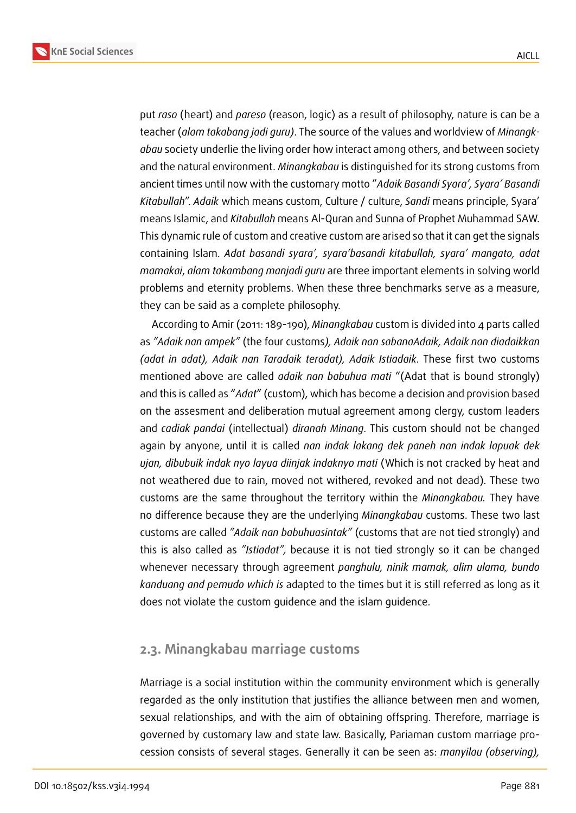**KnE Social Sciences**



put *raso* (heart) and *pareso* (reason, logic) as a result of philosophy, nature is can be a teacher (*alam takabang jadi guru)*. The source of the values and worldview of *Minangkabau* society underlie the living order how interact among others, and between society and the natural environment. *Minangkabau* is distinguished for its strong customs from ancient times until now with the customary motto "*Adaik Basandi Syara', Syara' Basandi Kitabullah*". *Adaik* which means custom, Culture / culture, *Sandi* means principle, Syara' means Islamic, and *Kitabullah* means Al-Quran and Sunna of Prophet Muhammad SAW. This dynamic rule of custom and creative custom are arised so that it can get the signals containing Islam. *Adat basandi syara', syara'basandi kitabullah, syara' mangato, adat mamakai*, *alam takambang manjadi guru* are three important elements in solving world problems and eternity problems. When these three benchmarks serve as a measure, they can be said as a complete philosophy.

According to Amir (2011: 189-190), *Minangkabau* custom is divided into 4 parts called as *"Adaik nan ampek"* (the four customs*), Adaik nan sabanaAdaik, Adaik nan diadaikkan (adat in adat), Adaik nan Taradaik teradat), Adaik Istiadaik*. These first two customs mentioned above are called *adaik nan babuhua mati* "(Adat that is bound strongly) and this is called as "*Adat*" (custom), which has become a decision and provision based on the assesment and deliberation mutual agreement among clergy, custom leaders and *cadiak pandai* (intellectual) *diranah Minang*. This custom should not be changed again by anyone, until it is called *nan indak lakang dek paneh nan indak lapuak dek ujan, dibubuik indak nyo layua diinjak indaknyo mati* (Which is not cracked by heat and not weathered due to rain, moved not withered, revoked and not dead). These two customs are the same throughout the territory within the *Minangkabau.* They have no difference because they are the underlying *Minangkabau* customs. These two last customs are called *"Adaik nan babuhuasintak"* (customs that are not tied strongly) and this is also called as *"Istiadat",* because it is not tied strongly so it can be changed whenever necessary through agreement *panghulu, ninik mamak, alim ulama, bundo kanduang and pemudo which is* adapted to the times but it is still referred as long as it does not violate the custom guidence and the islam guidence.

#### **2.3. Minangkabau marriage customs**

Marriage is a social institution within the community environment which is generally regarded as the only institution that justifies the alliance between men and women, sexual relationships, and with the aim of obtaining offspring. Therefore, marriage is governed by customary law and state law. Basically, Pariaman custom marriage procession consists of several stages. Generally it can be seen as: *manyilau (observing),*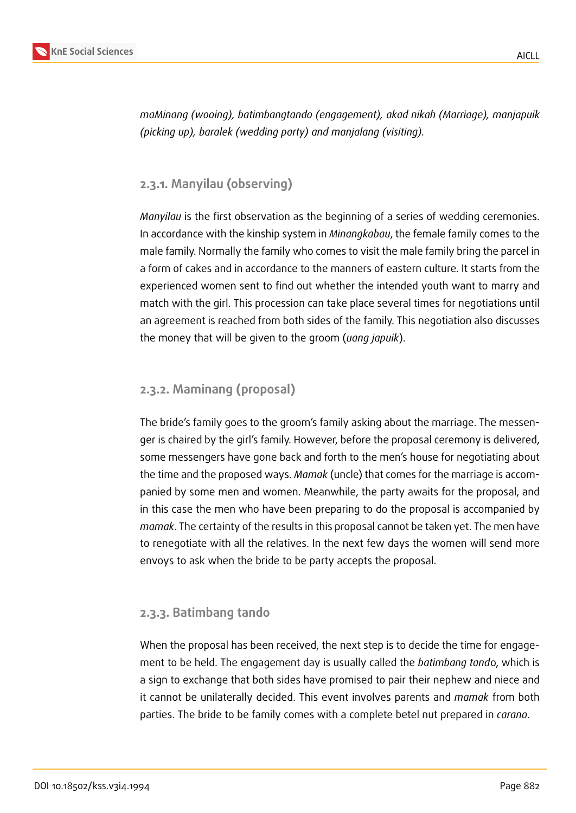

*maMinang (wooing), batimbangtando (engagement), akad nikah (Marriage), manjapuik (picking up), baralek (wedding party) and manjalang (visiting).*

#### **2.3.1. Manyilau (observing)**

*Manyilau* is the first observation as the beginning of a series of wedding ceremonies. In accordance with the kinship system in *Minangkabau*, the female family comes to the male family. Normally the family who comes to visit the male family bring the parcel in a form of cakes and in accordance to the manners of eastern culture. It starts from the experienced women sent to find out whether the intended youth want to marry and match with the girl. This procession can take place several times for negotiations until an agreement is reached from both sides of the family. This negotiation also discusses the money that will be given to the groom (*uang japuik*).

#### **2.3.2. Maminang (proposal)**

The bride's family goes to the groom's family asking about the marriage. The messenger is chaired by the girl's family. However, before the proposal ceremony is delivered, some messengers have gone back and forth to the men's house for negotiating about the time and the proposed ways. *Mamak* (uncle) that comes for the marriage is accompanied by some men and women. Meanwhile, the party awaits for the proposal, and in this case the men who have been preparing to do the proposal is accompanied by *mamak*. The certainty of the results in this proposal cannot be taken yet. The men have to renegotiate with all the relatives. In the next few days the women will send more envoys to ask when the bride to be party accepts the proposal.

#### **2.3.3. Batimbang tando**

When the proposal has been received, the next step is to decide the time for engagement to be held. The engagement day is usually called the *batimbang tand*o, which is a sign to exchange that both sides have promised to pair their nephew and niece and it cannot be unilaterally decided. This event involves parents and *mamak* from both parties. The bride to be family comes with a complete betel nut prepared in *carano*.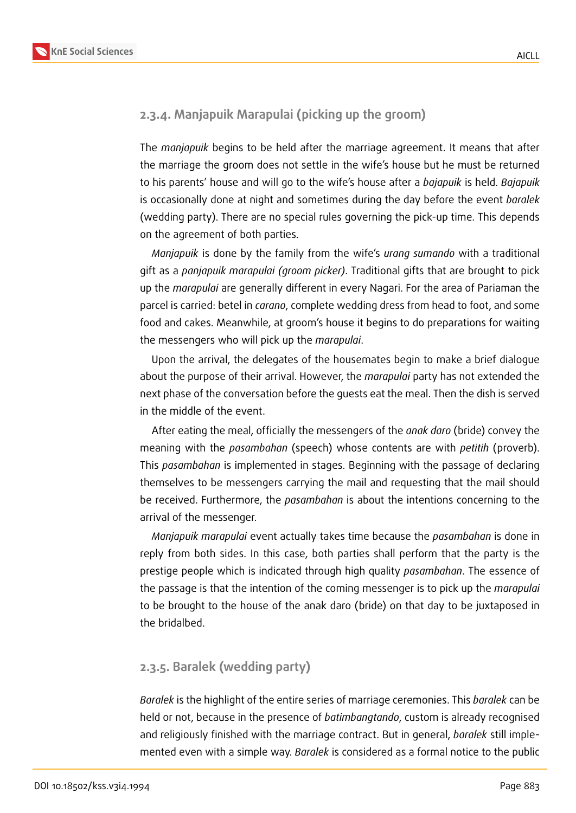### **2.3.4. Manjapuik Marapulai (picking up the groom)**

The *manjapuik* begins to be held after the marriage agreement. It means that after the marriage the groom does not settle in the wife's house but he must be returned to his parents' house and will go to the wife's house after a *bajapuik* is held. *Bajapuik* is occasionally done at night and sometimes during the day before the event *baralek* (wedding party). There are no special rules governing the pick-up time. This depends on the agreement of both parties.

*Manjapuik* is done by the family from the wife's *urang sumando* with a traditional gift as a *panjapuik marapulai (groom picker)*. Traditional gifts that are brought to pick up the *marapulai* are generally different in every Nagari. For the area of Pariaman the parcel is carried: betel in *carano*, complete wedding dress from head to foot, and some food and cakes. Meanwhile, at groom's house it begins to do preparations for waiting the messengers who will pick up the *marapulai*.

Upon the arrival, the delegates of the housemates begin to make a brief dialogue about the purpose of their arrival. However, the *marapulai* party has not extended the next phase of the conversation before the guests eat the meal. Then the dish is served in the middle of the event.

After eating the meal, officially the messengers of the *anak daro* (bride) convey the meaning with the *pasambahan* (speech) whose contents are with *petitih* (proverb). This *pasambahan* is implemented in stages. Beginning with the passage of declaring themselves to be messengers carrying the mail and requesting that the mail should be received. Furthermore, the *pasambahan* is about the intentions concerning to the arrival of the messenger.

*Manjapuik marapulai* event actually takes time because the *pasambahan* is done in reply from both sides. In this case, both parties shall perform that the party is the prestige people which is indicated through high quality *pasambahan*. The essence of the passage is that the intention of the coming messenger is to pick up the *marapulai* to be brought to the house of the anak daro (bride) on that day to be juxtaposed in the bridalbed.

#### **2.3.5. Baralek (wedding party)**

*Baralek* is the highlight of the entire series of marriage ceremonies. This *baralek* can be held or not, because in the presence of *batimbangtando*, custom is already recognised and religiously finished with the marriage contract. But in general, *baralek* still implemented even with a simple way. *Baralek* is considered as a formal notice to the public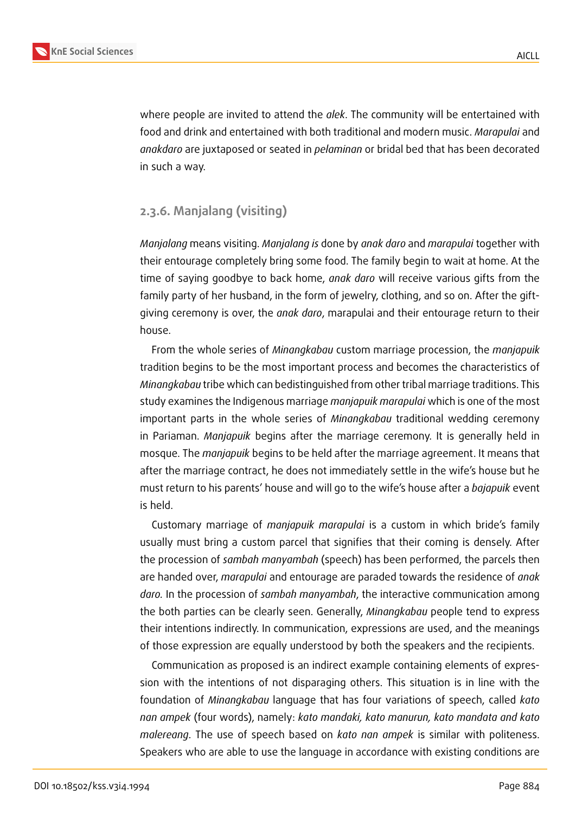

where people are invited to attend the *alek*. The community will be entertained with food and drink and entertained with both traditional and modern music. *Marapulai* and *anakdaro* are juxtaposed or seated in *pelaminan* or bridal bed that has been decorated in such a way.

#### **2.3.6. Manjalang (visiting)**

*Manjalang* means visiting. *Manjalang is* done by *anak daro* and *marapulai* together with their entourage completely bring some food. The family begin to wait at home. At the time of saying goodbye to back home, *anak daro* will receive various gifts from the family party of her husband, in the form of jewelry, clothing, and so on. After the giftgiving ceremony is over, the *anak daro*, marapulai and their entourage return to their house.

From the whole series of *Minangkabau* custom marriage procession, the *manjapuik* tradition begins to be the most important process and becomes the characteristics of *Minangkabau* tribe which can bedistinguished from other tribal marriage traditions. This study examines the Indigenous marriage *manjapuik marapulai* which is one of the most important parts in the whole series of *Minangkabau* traditional wedding ceremony in Pariaman. *Manjapuik* begins after the marriage ceremony. It is generally held in mosque. The *manjapuik* begins to be held after the marriage agreement. It means that after the marriage contract, he does not immediately settle in the wife's house but he must return to his parents' house and will go to the wife's house after a *bajapuik* event is held.

Customary marriage of *manjapuik marapulai* is a custom in which bride's family usually must bring a custom parcel that signifies that their coming is densely. After the procession of *sambah manyambah* (speech) has been performed, the parcels then are handed over, *marapulai* and entourage are paraded towards the residence of *anak daro.* In the procession of *sambah manyambah*, the interactive communication among the both parties can be clearly seen. Generally, *Minangkabau* people tend to express their intentions indirectly. In communication, expressions are used, and the meanings of those expression are equally understood by both the speakers and the recipients.

Communication as proposed is an indirect example containing elements of expression with the intentions of not disparaging others. This situation is in line with the foundation of *Minangkabau* language that has four variations of speech, called *kato nan ampek* (four words), namely: *kato mandaki, kato manurun, kato mandata and kato malereang*. The use of speech based on *kato nan ampek* is similar with politeness. Speakers who are able to use the language in accordance with existing conditions are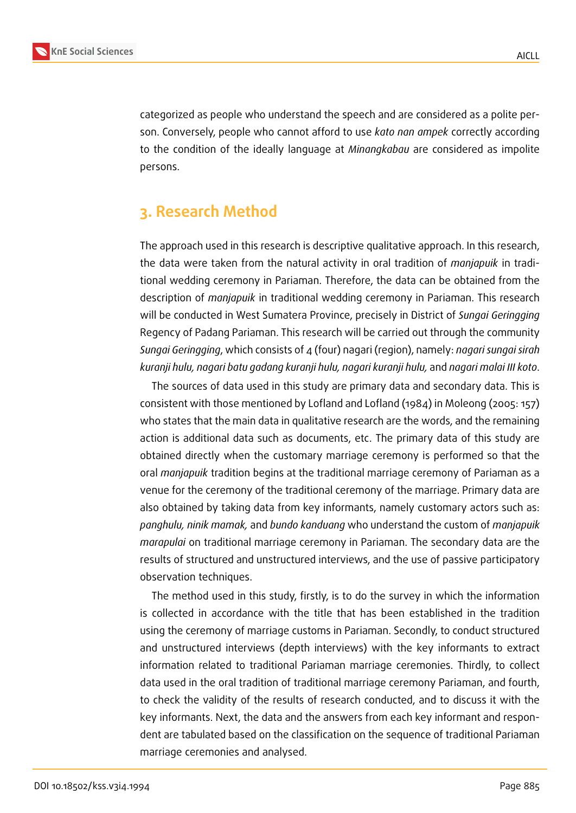

categorized as people who understand the speech and are considered as a polite person. Conversely, people who cannot afford to use *kato nan ampek* correctly according to the condition of the ideally language at *Minangkabau* are considered as impolite persons.

# **3. Research Method**

The approach used in this research is descriptive qualitative approach. In this research, the data were taken from the natural activity in oral tradition of *manjapuik* in traditional wedding ceremony in Pariaman. Therefore, the data can be obtained from the description of *manjapuik* in traditional wedding ceremony in Pariaman. This research will be conducted in West Sumatera Province, precisely in District of *Sungai Geringging* Regency of Padang Pariaman. This research will be carried out through the community *Sungai Geringging*, which consists of 4 (four) nagari (region), namely: *nagari sungai sirah kuranji hulu, nagari batu gadang kuranji hulu, nagari kuranji hulu,* and *nagari malai III koto*.

The sources of data used in this study are primary data and secondary data. This is consistent with those mentioned by Lofland and Lofland (1984) in Moleong (2005: 157) who states that the main data in qualitative research are the words, and the remaining action is additional data such as documents, etc. The primary data of this study are obtained directly when the customary marriage ceremony is performed so that the oral *manjapuik* tradition begins at the traditional marriage ceremony of Pariaman as a venue for the ceremony of the traditional ceremony of the marriage. Primary data are also obtained by taking data from key informants, namely customary actors such as: *panghulu, ninik mamak,* and *bundo kanduang* who understand the custom of *manjapuik marapulai* on traditional marriage ceremony in Pariaman. The secondary data are the results of structured and unstructured interviews, and the use of passive participatory observation techniques.

The method used in this study, firstly, is to do the survey in which the information is collected in accordance with the title that has been established in the tradition using the ceremony of marriage customs in Pariaman. Secondly, to conduct structured and unstructured interviews (depth interviews) with the key informants to extract information related to traditional Pariaman marriage ceremonies. Thirdly, to collect data used in the oral tradition of traditional marriage ceremony Pariaman, and fourth, to check the validity of the results of research conducted, and to discuss it with the key informants. Next, the data and the answers from each key informant and respondent are tabulated based on the classification on the sequence of traditional Pariaman marriage ceremonies and analysed.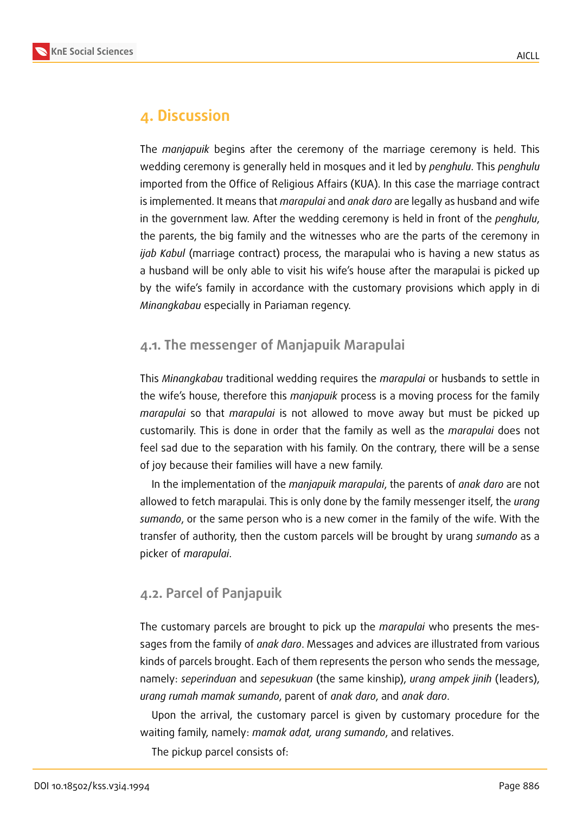



## **4. Discussion**

The *manjapuik* begins after the ceremony of the marriage ceremony is held. This wedding ceremony is generally held in mosques and it led by *penghulu*. This *penghulu* imported from the Office of Religious Affairs (KUA). In this case the marriage contract is implemented. It means that *marapulai* and *anak daro* are legally as husband and wife in the government law. After the wedding ceremony is held in front of the *penghulu*, the parents, the big family and the witnesses who are the parts of the ceremony in *ijab Kabul* (marriage contract) process, the marapulai who is having a new status as a husband will be only able to visit his wife's house after the marapulai is picked up by the wife's family in accordance with the customary provisions which apply in di *Minangkabau* especially in Pariaman regency.

### **4.1. The messenger of Manjapuik Marapulai**

This *Minangkabau* traditional wedding requires the *marapulai* or husbands to settle in the wife's house, therefore this *manjapuik* process is a moving process for the family *marapulai* so that *marapulai* is not allowed to move away but must be picked up customarily. This is done in order that the family as well as the *marapulai* does not feel sad due to the separation with his family. On the contrary, there will be a sense of joy because their families will have a new family.

In the implementation of the *manjapuik marapulai*, the parents of *anak daro* are not allowed to fetch marapulai. This is only done by the family messenger itself, the *urang sumando*, or the same person who is a new comer in the family of the wife. With the transfer of authority, then the custom parcels will be brought by urang *sumando* as a picker of *marapulai*.

## **4.2. Parcel of Panjapuik**

The customary parcels are brought to pick up the *marapulai* who presents the messages from the family of *anak daro*. Messages and advices are illustrated from various kinds of parcels brought. Each of them represents the person who sends the message, namely: *seperinduan* and *sepesukuan* (the same kinship), *urang ampek jinih* (leaders), *urang rumah mamak sumando*, parent of *anak daro*, and *anak daro*.

Upon the arrival, the customary parcel is given by customary procedure for the waiting family, namely: *mamak adat, urang sumando*, and relatives.

The pickup parcel consists of: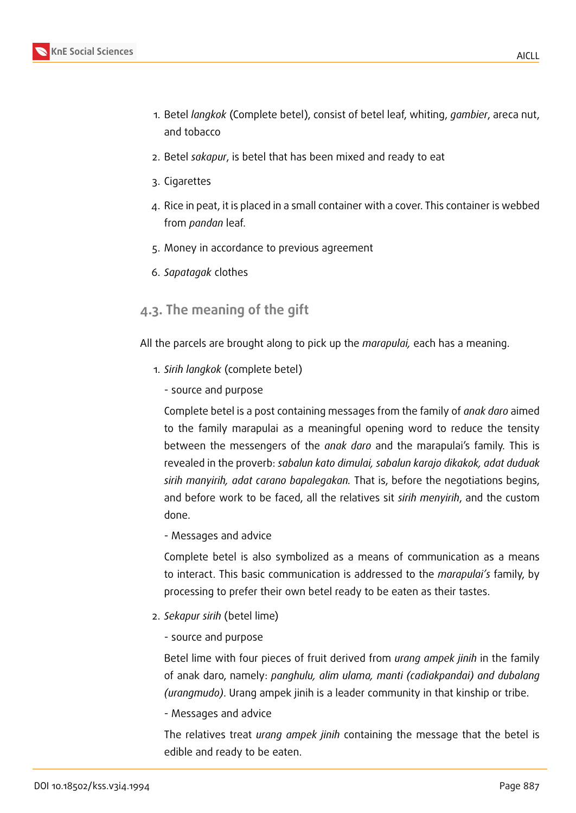- 1. Betel *langkok* (Complete betel), consist of betel leaf, whiting, *gambier*, areca nut, and tobacco
- 2. Betel *sakapur*, is betel that has been mixed and ready to eat
- 3. Cigarettes
- 4. Rice in peat, it is placed in a small container with a cover. This container is webbed from *pandan* leaf.
- 5. Money in accordance to previous agreement
- 6. *Sapatagak* clothes

## **4.3. The meaning of the gift**

All the parcels are brought along to pick up the *marapulai,* each has a meaning.

- 1. *Sirih langkok* (complete betel)
	- source and purpose

Complete betel is a post containing messages from the family of *anak daro* aimed to the family marapulai as a meaningful opening word to reduce the tensity between the messengers of the *anak daro* and the marapulai's family. This is revealed in the proverb: *sabalun kato dimulai, sabalun karajo dikakok, adat duduak sirih manyirih, adat carano bapalegakan.* That is, before the negotiations begins, and before work to be faced, all the relatives sit *sirih menyirih*, and the custom done.

- Messages and advice

Complete betel is also symbolized as a means of communication as a means to interact. This basic communication is addressed to the *marapulai's* family, by processing to prefer their own betel ready to be eaten as their tastes.

- 2. *Sekapur sirih* (betel lime)
	- source and purpose

Betel lime with four pieces of fruit derived from *urang ampek jinih* in the family of anak daro, namely: *panghulu, alim ulama, manti (cadiakpandai) and dubalang (urangmudo)*. Urang ampek jinih is a leader community in that kinship or tribe.

- Messages and advice

The relatives treat *urang ampek jinih* containing the message that the betel is edible and ready to be eaten.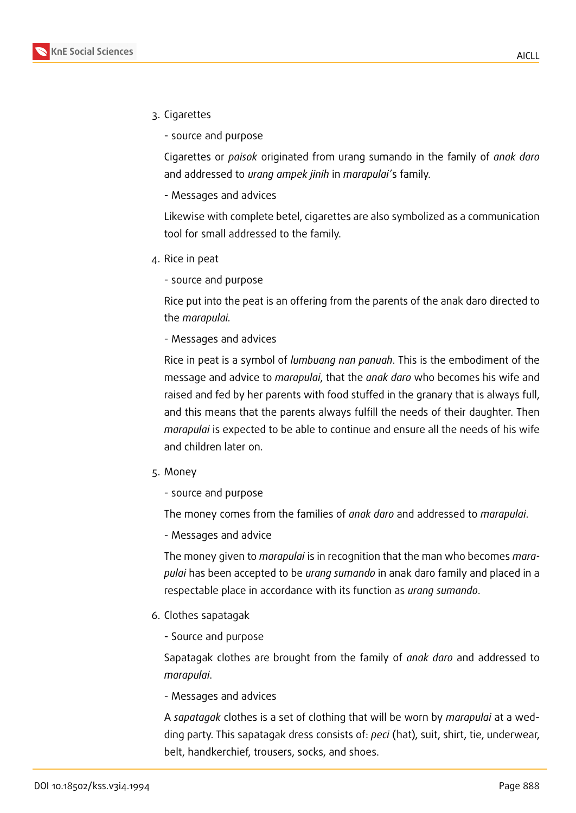- 3. Cigarettes
	- source and purpose

Cigarettes or *paisok* originated from urang sumando in the family of *anak daro* and addressed to *urang ampek jinih* in *marapulai'*s family.

- Messages and advices

Likewise with complete betel, cigarettes are also symbolized as a communication tool for small addressed to the family.

- 4. Rice in peat
	- source and purpose

Rice put into the peat is an offering from the parents of the anak daro directed to the *marapulai.*

- Messages and advices

Rice in peat is a symbol of *lumbuang nan panuah*. This is the embodiment of the message and advice to *marapulai*, that the *anak daro* who becomes his wife and raised and fed by her parents with food stuffed in the granary that is always full, and this means that the parents always fulfill the needs of their daughter. Then *marapulai* is expected to be able to continue and ensure all the needs of his wife and children later on.

- 5. Money
	- source and purpose

The money comes from the families of *anak daro* and addressed to *marapulai*.

- Messages and advice

The money given to *marapulai* is in recognition that the man who becomes *marapulai* has been accepted to be *urang sumando* in anak daro family and placed in a respectable place in accordance with its function as *urang sumando*.

- 6. Clothes sapatagak
	- Source and purpose

Sapatagak clothes are brought from the family of *anak daro* and addressed to *marapulai*.

- Messages and advices

A *sapatagak* clothes is a set of clothing that will be worn by *marapulai* at a wedding party. This sapatagak dress consists of: *peci* (hat), suit, shirt, tie, underwear, belt, handkerchief, trousers, socks, and shoes.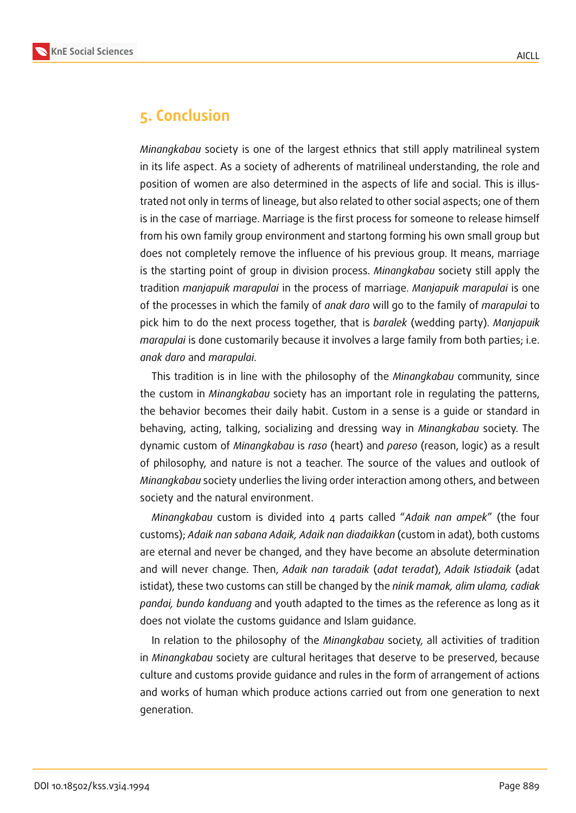

# **5. Conclusion**

*Minangkabau* society is one of the largest ethnics that still apply matrilineal system in its life aspect. As a society of adherents of matrilineal understanding, the role and position of women are also determined in the aspects of life and social. This is illustrated not only in terms of lineage, but also related to other social aspects; one of them is in the case of marriage. Marriage is the first process for someone to release himself from his own family group environment and startong forming his own small group but does not completely remove the influence of his previous group. It means, marriage is the starting point of group in division process. *Minangkabau* society still apply the tradition *manjapuik marapulai* in the process of marriage. *Manjapuik marapulai* is one of the processes in which the family of *anak daro* will go to the family of *marapulai* to pick him to do the next process together, that is *baralek* (wedding party). *Manjapuik marapulai* is done customarily because it involves a large family from both parties; i.e. *anak daro* and *marapulai*.

This tradition is in line with the philosophy of the *Minangkabau* community, since the custom in *Minangkabau* society has an important role in regulating the patterns, the behavior becomes their daily habit. Custom in a sense is a guide or standard in behaving, acting, talking, socializing and dressing way in *Minangkabau* society. The dynamic custom of *Minangkabau* is *raso* (heart) and *pareso* (reason, logic) as a result of philosophy, and nature is not a teacher. The source of the values and outlook of *Minangkabau* society underlies the living order interaction among others, and between society and the natural environment.

*Minangkabau* custom is divided into 4 parts called "*Adaik nan ampek*" (the four customs); *Adaik nan sabana Adaik, Adaik nan diadaikkan* (custom in adat), both customs are eternal and never be changed, and they have become an absolute determination and will never change. Then, *Adaik nan taradaik* (*adat teradat*), *Adaik Istiadaik* (adat istidat), these two customs can still be changed by the *ninik mamak, alim ulama, cadiak pandai, bundo kanduang* and youth adapted to the times as the reference as long as it does not violate the customs guidance and Islam guidance.

In relation to the philosophy of the *Minangkabau* society, all activities of tradition in *Minangkabau* society are cultural heritages that deserve to be preserved, because culture and customs provide guidance and rules in the form of arrangement of actions and works of human which produce actions carried out from one generation to next generation.